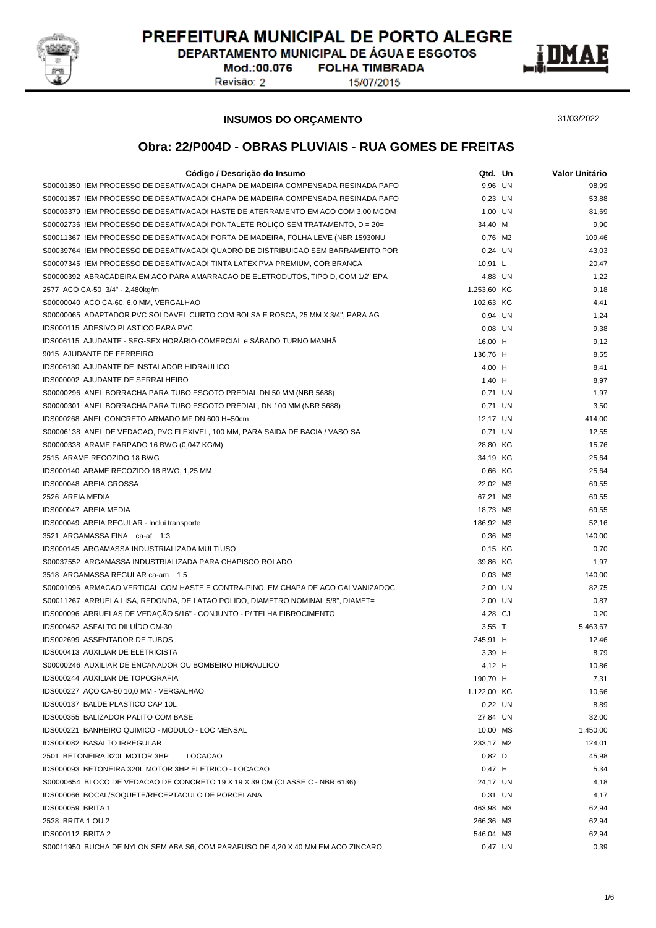

DEPARTAMENTO MUNICIPAL DE ÁGUA E ESGOTOS

Mod.:00.076 Revisão: 2

**FOLHA TIMBRADA** 15/07/2015



#### **INSUMOS DO ORÇAMENTO**

31/03/2022

| Código / Descrição do Insumo                                                      | Qtd. Un     | Valor Unitário |
|-----------------------------------------------------------------------------------|-------------|----------------|
| S00001350 !EM PROCESSO DE DESATIVACAO! CHAPA DE MADEIRA COMPENSADA RESINADA PAFO  | 9,96 UN     | 98,99          |
| S00001357 !EM PROCESSO DE DESATIVACAO! CHAPA DE MADEIRA COMPENSADA RESINADA PAFO  | 0,23 UN     | 53,88          |
| S00003379 !EM PROCESSO DE DESATIVACAO! HASTE DE ATERRAMENTO EM ACO COM 3,00 MCOM  | 1,00 UN     | 81,69          |
| S00002736 !EM PROCESSO DE DESATIVACAO! PONTALETE ROLICO SEM TRATAMENTO, D = 20=   | 34,40 M     | 9,90           |
| S00011367 IEM PROCESSO DE DESATIVACAOI PORTA DE MADEIRA, FOLHA LEVE (NBR 15930NU  | 0,76 M2     | 109,46         |
| S00039764 !EM PROCESSO DE DESATIVACAO! QUADRO DE DISTRIBUICAO SEM BARRAMENTO, POR | 0,24 UN     | 43,03          |
| S00007345 !EM PROCESSO DE DESATIVACAO! TINTA LATEX PVA PREMIUM, COR BRANCA        | 10,91 L     | 20,47          |
| S00000392 ABRACADEIRA EM ACO PARA AMARRACAO DE ELETRODUTOS, TIPO D, COM 1/2" EPA  | 4,88 UN     | 1,22           |
| 2577 ACO CA-50 3/4" - 2,480kg/m                                                   | 1.253,60 KG | 9,18           |
| S00000040 ACO CA-60, 6,0 MM, VERGALHAO                                            | 102,63 KG   | 4,41           |
| S00000065_ADAPTADOR PVC SOLDAVEL CURTO COM BOLSA E ROSCA, 25 MM X 3/4", PARA AG   | 0,94 UN     | 1,24           |
| IDS000115 ADESIVO PLASTICO PARA PVC                                               | $0.08$ UN   | 9,38           |
| IDS006115 AJUDANTE - SEG-SEX HORÁRIO COMERCIAL e SÁBADO TURNO MANHÃ               | 16,00 H     | 9,12           |
| 9015 AJUDANTE DE FERREIRO                                                         | 136,76 H    | 8,55           |
| IDS006130 AJUDANTE DE INSTALADOR HIDRAULICO                                       | 4,00 H      | 8,41           |
| IDS000002 AJUDANTE DE SERRALHEIRO                                                 | 1,40 H      | 8,97           |
| S00000296 ANEL BORRACHA PARA TUBO ESGOTO PREDIAL DN 50 MM (NBR 5688)              | 0,71 UN     | 1,97           |
| S00000301 ANEL BORRACHA PARA TUBO ESGOTO PREDIAL, DN 100 MM (NBR 5688)            | 0.71 UN     | 3,50           |
| IDS000268 ANEL CONCRETO ARMADO MF DN 600 H=50cm                                   | 12,17 UN    | 414,00         |
| S00006138 ANEL DE VEDACAO, PVC FLEXIVEL, 100 MM, PARA SAIDA DE BACIA / VASO SA    | 0,71 UN     | 12,55          |
| S00000338 ARAME FARPADO 16 BWG (0,047 KG/M)                                       | 28,80 KG    | 15,76          |
| 2515 ARAME RECOZIDO 18 BWG                                                        | 34,19 KG    | 25,64          |
| IDS000140 ARAME RECOZIDO 18 BWG, 1,25 MM                                          | 0,66 KG     | 25,64          |
| IDS000048 AREIA GROSSA                                                            | 22,02 M3    | 69,55          |
| 2526 AREIA MEDIA                                                                  | 67,21 M3    | 69,55          |
| IDS000047 AREIA MEDIA                                                             | 18,73 M3    | 69,55          |
| IDS000049 AREIA REGULAR - Inclui transporte                                       | 186,92 M3   | 52,16          |
| 3521 ARGAMASSA FINA ca-af 1:3                                                     | 0,36 M3     | 140,00         |
| IDS000145 ARGAMASSA INDUSTRIALIZADA MULTIUSO                                      | 0,15 KG     | 0,70           |
| S00037552 ARGAMASSA INDUSTRIALIZADA PARA CHAPISCO ROLADO                          | 39,86 KG    | 1,97           |
| 3518 ARGAMASSA REGULAR ca-am 1:5                                                  | $0,03$ M3   | 140,00         |
| S00001096 ARMACAO VERTICAL COM HASTE E CONTRA-PINO, EM CHAPA DE ACO GALVANIZADOC  | 2,00 UN     | 82,75          |
| S00011267 ARRUELA LISA, REDONDA, DE LATAO POLIDO, DIAMETRO NOMINAL 5/8", DIAMET=  | 2,00 UN     | 0,87           |
| IDS000096 ARRUELAS DE VEDAÇÃO 5/16" - CONJUNTO - P/ TELHA FIBROCIMENTO            | 4,28 CJ     | 0,20           |
| IDS000452 ASFALTO DILUÍDO CM-30                                                   | $3,55$ T    | 5.463,67       |
| <b>IDS002699 ASSENTADOR DE TUBOS</b>                                              | 245,91 H    | 12,46          |
| <b>IDS000413 AUXILIAR DE ELETRICISTA</b>                                          | 3,39 H      | 8,79           |
| S00000246 AUXILIAR DE ENCANADOR OU BOMBEIRO HIDRAULICO                            | 4,12 H      | 10,86          |
| IDS000244 AUXILIAR DE TOPOGRAFIA                                                  | 190,70 H    | 7,31           |
| IDS000227 AÇO CA-50 10,0 MM - VERGALHAO                                           | 1.122,00 KG | 10,66          |
| IDS000137 BALDE PLASTICO CAP 10L                                                  | 0,22 UN     | 8,89           |
| IDS000355 BALIZADOR PALITO COM BASE                                               | 27,84 UN    | 32,00          |
| IDS000221 BANHEIRO QUIMICO - MODULO - LOC MENSAL                                  | 10,00 MS    | 1.450,00       |
| IDS000082 BASALTO IRREGULAR                                                       | 233,17 M2   | 124,01         |
| 2501 BETONEIRA 320L MOTOR 3HP<br><b>LOCACAO</b>                                   | $0,82$ D    | 45,98          |
| IDS000093 BETONEIRA 320L MOTOR 3HP ELETRICO - LOCACAO                             | $0,47$ H    | 5,34           |
| S00000654 BLOCO DE VEDACAO DE CONCRETO 19 X 19 X 39 CM (CLASSE C - NBR 6136)      | 24,17 UN    | 4,18           |
| IDS000066 BOCAL/SOQUETE/RECEPTACULO DE PORCELANA                                  | 0,31 UN     | 4,17           |
| <b>IDS000059 BRITA 1</b>                                                          | 463,98 M3   | 62,94          |
| 2528 BRITA 1 OU 2                                                                 | 266,36 M3   | 62,94          |
| <b>IDS000112 BRITA 2</b>                                                          | 546,04 M3   | 62,94          |
| S00011950 BUCHA DE NYLON SEM ABA S6, COM PARAFUSO DE 4,20 X 40 MM EM ACO ZINCARO  | 0,47 UN     | 0,39           |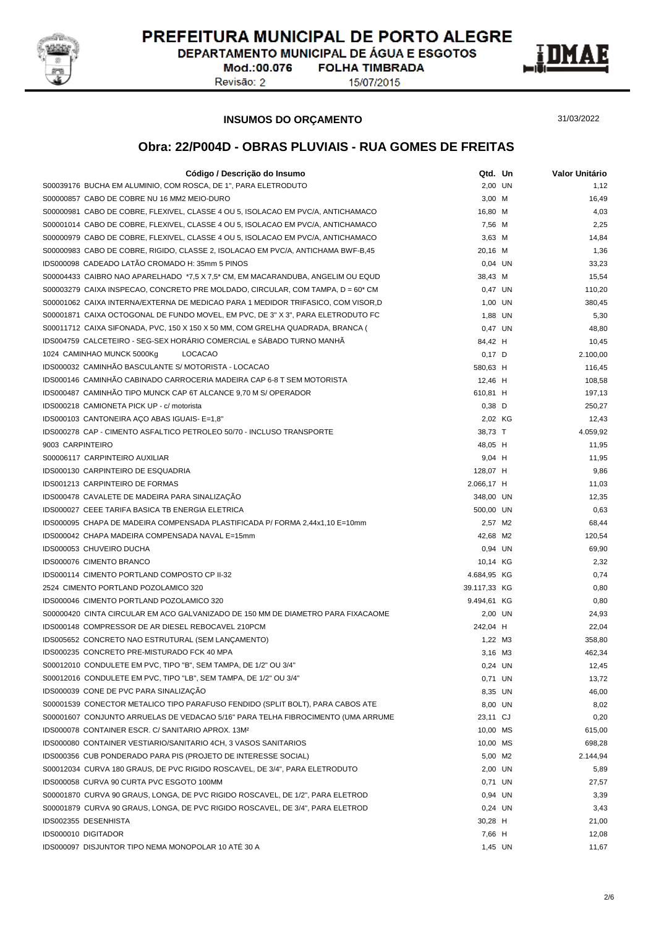

DEPARTAMENTO MUNICIPAL DE ÁGUA E ESGOTOS

Mod.:00.076 Revisão: 2

**FOLHA TIMBRADA** 15/07/2015



**INSUMOS DO ORÇAMENTO**

31/03/2022

| Código / Descrição do Insumo                                                       | Qtd. Un            | Valor Unitário |
|------------------------------------------------------------------------------------|--------------------|----------------|
| S00039176 BUCHA EM ALUMINIO, COM ROSCA, DE 1", PARA ELETRODUTO                     | 2,00 UN            | 1,12           |
| S00000857 CABO DE COBRE NU 16 MM2 MEIO-DURO                                        | 3,00 M             | 16,49          |
| S00000981 CABO DE COBRE, FLEXIVEL, CLASSE 4 OU 5, ISOLACAO EM PVC/A, ANTICHAMACO   | 16,80 M            | 4,03           |
| S00001014 CABO DE COBRE, FLEXIVEL, CLASSE 4 OU 5, ISOLACAO EM PVC/A, ANTICHAMACO   | 7,56 M             | 2,25           |
| S00000979 CABO DE COBRE, FLEXIVEL, CLASSE 4 OU 5, ISOLACAO EM PVC/A, ANTICHAMACO   | $3,63$ M           | 14,84          |
| S00000983 CABO DE COBRE, RIGIDO, CLASSE 2, ISOLACAO EM PVC/A, ANTICHAMA BWF-B,45   | 20,16 M            | 1,36           |
| IDS000098 CADEADO LATÃO CROMADO H: 35mm 5 PINOS                                    | 0,04 UN            | 33,23          |
| S00004433 CAIBRO NAO APARELHADO *7,5 X 7,5 * CM, EM MACARANDUBA, ANGELIM OU EQUD   | 38,43 M            | 15,54          |
| S00003279 CAIXA INSPECAO, CONCRETO PRE MOLDADO, CIRCULAR, COM TAMPA, $D = 60^*$ CM | 0.47 UN            | 110,20         |
| S00001062 CAIXA INTERNA/EXTERNA DE MEDICAO PARA 1 MEDIDOR TRIFASICO, COM VISOR,D   | 1,00 UN            | 380,45         |
| S00001871 CAIXA OCTOGONAL DE FUNDO MOVEL, EM PVC, DE 3" X 3", PARA ELETRODUTO FC   | 1,88 UN            | 5,30           |
| S00011712 CAIXA SIFONADA, PVC, 150 X 150 X 50 MM, COM GRELHA QUADRADA, BRANCA (    | 0,47 UN            | 48,80          |
| IDS004759 CALCETEIRO - SEG-SEX HORÁRIO COMERCIAL e SÁBADO TURNO MANHÃ              |                    |                |
|                                                                                    | 84,42 H            | 10,45          |
| 1024 CAMINHAO MUNCK 5000Kg<br><b>LOCACAO</b>                                       | $0,17$ D           | 2.100,00       |
| IDS000032 CAMINHÃO BASCULANTE S/ MOTORISTA - LOCACAO                               | 580,63 H           | 116,45         |
| IDS000146 CAMINHÃO CABINADO CARROCERIA MADEIRA CAP 6-8 T SEM MOTORISTA             | 12,46 H            | 108,58         |
| IDS000487 CAMINHÃO TIPO MUNCK CAP 6T ALCANCE 9,70 M S/ OPERADOR                    | 610,81 H           | 197,13         |
| IDS000218 CAMIONETA PICK UP - c/ motorista                                         | $0,38$ D           | 250,27         |
| IDS000103 CANTONEIRA AÇO ABAS IGUAIS- E=1,8"                                       | 2,02 KG            | 12,43          |
| IDS000278 CAP - CIMENTO ASFALTICO PETROLEO 50/70 - INCLUSO TRANSPORTE              | 38,73 T            | 4.059,92       |
| 9003 CARPINTEIRO                                                                   | 48,05 H            | 11,95          |
| S00006117 CARPINTEIRO AUXILIAR                                                     | 9,04 H             | 11,95          |
| IDS000130 CARPINTEIRO DE ESQUADRIA                                                 | 128,07 H           | 9,86           |
| IDS001213 CARPINTEIRO DE FORMAS                                                    | 2.066,17 H         | 11,03          |
| IDS000478 CAVALETE DE MADEIRA PARA SINALIZAÇÃO                                     | 348,00 UN          | 12,35          |
| <b>IDS000027 CEEE TARIFA BASICA TB ENERGIA ELETRICA</b>                            | 500,00 UN          | 0,63           |
| IDS000095 CHAPA DE MADEIRA COMPENSADA PLASTIFICADA P/ FORMA 2,44x1,10 E=10mm       | 2,57 M2            | 68,44          |
| IDS000042 CHAPA MADEIRA COMPENSADA NAVAL E=15mm                                    | 42,68 M2           | 120,54         |
| IDS000053 CHUVEIRO DUCHA                                                           | 0,94 UN            | 69,90          |
| IDS000076 CIMENTO BRANCO                                                           | 10,14 KG           | 2,32           |
| IDS000114 CIMENTO PORTLAND COMPOSTO CP II-32                                       | 4.684,95 KG        | 0,74           |
| 2524 CIMENTO PORTLAND POZOLAMICO 320                                               | 39.117,33 KG       | 0,80           |
| IDS000046 CIMENTO PORTLAND POZOLAMICO 320                                          | 9.494,61 KG        | 0,80           |
| S00000420 CINTA CIRCULAR EM ACO GALVANIZADO DE 150 MM DE DIAMETRO PARA FIXACAOME   | 2,00 UN            | 24,93          |
| IDS000148 COMPRESSOR DE AR DIESEL REBOCAVEL 210PCM                                 | 242,04 H           | 22,04          |
| IDS005652 CONCRETO NAO ESTRUTURAL (SEM LANÇAMENTO)                                 | 1.22 M3            | 358,80         |
| IDS000235 CONCRETO PRE-MISTURADO FCK 40 MPA                                        | 3,16 M3            | 462,34         |
| S00012010 CONDULETE EM PVC, TIPO "B", SEM TAMPA, DE 1/2" OU 3/4"                   |                    |                |
|                                                                                    | 0,24 UN<br>0,71 UN | 12,45          |
| S00012016 CONDULETE EM PVC, TIPO "LB", SEM TAMPA, DE 1/2" OU 3/4"                  |                    | 13,72          |
| IDS000039 CONE DE PVC PARA SINALIZAÇÃO                                             | 8,35 UN            | 46,00          |
| S00001539 CONECTOR METALICO TIPO PARAFUSO FENDIDO (SPLIT BOLT), PARA CABOS ATE     | 8,00 UN            | 8,02           |
| S00001607 CONJUNTO ARRUELAS DE VEDACAO 5/16" PARA TELHA FIBROCIMENTO (UMA ARRUME   | 23,11 CJ           | 0,20           |
| IDS000078 CONTAINER ESCR. C/ SANITARIO APROX. 13M <sup>2</sup>                     | 10,00 MS           | 615,00         |
| IDS000080 CONTAINER VESTIARIO/SANITARIO 4CH, 3 VASOS SANITARIOS                    | 10,00 MS           | 698,28         |
| IDS000356 CUB PONDERADO PARA PIS (PROJETO DE INTERESSE SOCIAL)                     | 5,00 M2            | 2.144,94       |
| S00012034 CURVA 180 GRAUS, DE PVC RIGIDO ROSCAVEL, DE 3/4", PARA ELETRODUTO        | 2,00 UN            | 5,89           |
| IDS000058 CURVA 90 CURTA PVC ESGOTO 100MM                                          | 0,71 UN            | 27,57          |
| S00001870 CURVA 90 GRAUS, LONGA, DE PVC RIGIDO ROSCAVEL, DE 1/2", PARA ELETROD     | 0,94 UN            | 3,39           |
| S00001879 CURVA 90 GRAUS, LONGA, DE PVC RIGIDO ROSCAVEL, DE 3/4", PARA ELETROD     | 0,24 UN            | 3,43           |
| IDS002355 DESENHISTA                                                               | 30,28 H            | 21,00          |
| IDS000010 DIGITADOR                                                                | 7,66 H             | 12,08          |
| IDS000097 DISJUNTOR TIPO NEMA MONOPOLAR 10 ATÉ 30 A                                | 1,45 UN            | 11,67          |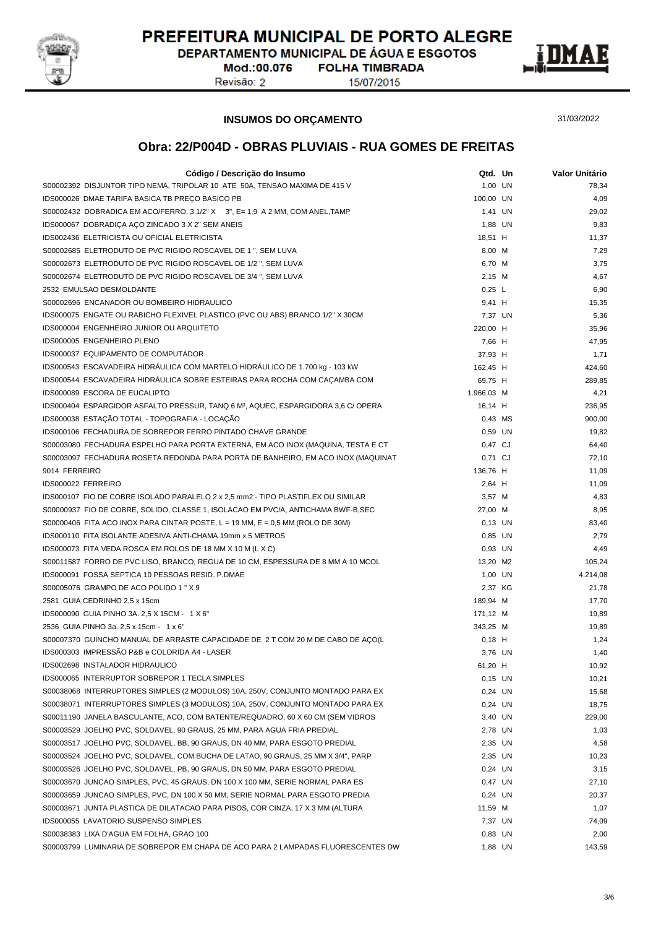

DEPARTAMENTO MUNICIPAL DE ÁGUA E ESGOTOS **FOLHA TIMBRADA** 

Mod.:00.076 Revisão: 2

15/07/2015



#### **INSUMOS DO ORÇAMENTO**

31/03/2022

| Código / Descrição do Insumo                                                                  | Qtd. Un    | Valor Unitário |
|-----------------------------------------------------------------------------------------------|------------|----------------|
| S00002392 DISJUNTOR TIPO NEMA, TRIPOLAR 10 ATE 50A, TENSAO MAXIMA DE 415 V                    | 1,00 UN    | 78,34          |
| IDS000026 DMAE TARIFA BASICA TB PREÇO BASICO PB                                               | 100,00 UN  | 4,09           |
| S00002432 DOBRADICA EM ACO/FERRO, 3 1/2" X 3", E= 1,9 A 2 MM, COM ANEL, TAMP                  | 1,41 UN    | 29,02          |
| IDS000067 DOBRADICA ACO ZINCADO 3 X 2" SEM ANEIS                                              | 1,88 UN    | 9,83           |
| IDS002436 ELETRICISTA OU OFICIAL ELETRICISTA                                                  | 18,51 H    | 11,37          |
| S00002685 ELETRODUTO DE PVC RIGIDO ROSCAVEL DE 1 ", SEM LUVA                                  | 8,00 M     | 7,29           |
| S00002673 ELETRODUTO DE PVC RIGIDO ROSCAVEL DE 1/2 ", SEM LUVA                                | 6,70 M     | 3,75           |
| S00002674 ELETRODUTO DE PVC RIGIDO ROSCAVEL DE 3/4 ", SEM LUVA                                | 2,15 M     | 4,67           |
| 2532 EMULSAO DESMOLDANTE                                                                      | 0,25 L     | 6,90           |
| S00002696 ENCANADOR OU BOMBEIRO HIDRAULICO                                                    | 9,41 H     | 15,35          |
| IDS000075 ENGATE OU RABICHO FLEXIVEL PLASTICO (PVC OU ABS) BRANCO 1/2" X 30CM                 | 7,37 UN    | 5,36           |
| IDS000004 ENGENHEIRO JUNIOR OU ARQUITETO                                                      |            |                |
|                                                                                               | 220,00 H   | 35,96          |
| IDS000005 ENGENHEIRO PLENO                                                                    | 7,66 H     | 47,95          |
| IDS000037 EQUIPAMENTO DE COMPUTADOR                                                           | 37,93 H    | 1,71           |
| IDS000543 ESCAVADEIRA HIDRAULICA COM MARTELO HIDRAULICO DE 1.700 kg - 103 kW                  | 162,45 H   | 424,60         |
| IDS000544 ESCAVADEIRA HIDRAULICA SOBRE ESTEIRAS PARA ROCHA COM CAÇAMBA COM                    | 69,75 H    | 289,85         |
| IDS000089 ESCORA DE EUCALIPTO                                                                 | 1.966,03 M | 4,21           |
| IDS000404 ESPARGIDOR ASFALTO PRESSUR, TANQ 6 M <sup>3</sup> , AQUEC, ESPARGIDORA 3,6 C/ OPERA | 16,14 H    | 236,95         |
| IDS000038 ESTAÇÃO TOTAL - TOPOGRAFIA - LOCAÇÃO                                                | 0,43 MS    | 900,00         |
| IDS000106 FECHADURA DE SOBREPOR FERRO PINTADO CHAVE GRANDE                                    | 0,59 UN    | 19,82          |
| S00003080 FECHADURA ESPELHO PARA PORTA EXTERNA, EM ACO INOX (MAQUINA, TESTA E CT              | 0,47 CJ    | 64,40          |
| S00003097 FECHADURA ROSETA REDONDA PARA PORTA DE BANHEIRO, EM ACO INOX (MAQUINAT              | 0,71 CJ    | 72,10          |
| 9014 FERREIRO                                                                                 | 136,76 H   | 11,09          |
| IDS000022 FERREIRO                                                                            | 2,64 H     | 11,09          |
| IDS000107 FIO DE COBRE ISOLADO PARALELO 2 x 2,5 mm2 - TIPO PLASTIFLEX OU SIMILAR              | 3,57 M     | 4,83           |
| S00000937 FIO DE COBRE, SOLIDO, CLASSE 1, ISOLACAO EM PVC/A, ANTICHAMA BWF-B, SEC             | 27,00 M    | 8,95           |
| S00000406 FITA ACO INOX PARA CINTAR POSTE, $L = 19$ MM, $E = 0.5$ MM (ROLO DE 30M)            | $0,13$ UN  | 83,40          |
| IDS000110 FITA ISOLANTE ADESIVA ANTI-CHAMA 19mm x 5 METROS                                    | 0,85 UN    | 2,79           |
| IDS000073 FITA VEDA ROSCA EM ROLOS DE 18 MM X 10 M (L X C)                                    | 0,93 UN    | 4,49           |
| S00011587 FORRO DE PVC LISO, BRANCO, REGUA DE 10 CM, ESPESSURA DE 8 MM A 10 MCOL              | 13,20 M2   | 105,24         |
| IDS000091 FOSSA SEPTICA 10 PESSOAS RESID. P.DMAE                                              | 1,00 UN    | 4.214,08       |
| S00005076 GRAMPO DE ACO POLIDO 1 " X 9                                                        | 2,37 KG    | 21,78          |
| 2581 GUIA CEDRINHO 2,5 x 15cm                                                                 | 189,94 M   | 17,70          |
| IDS000090 GUIA PINHO 3A. 2,5 X 15CM - 1 X 6"                                                  | 171,12 M   | 19,89          |
| 2536 GUIA PINHO 3a. 2,5 x 15cm - 1 x 6"                                                       | 343,25 M   | 19,89          |
| S00007370 GUINCHO MANUAL DE ARRASTE CAPACIDADE DE 2 T COM 20 M DE CABO DE AÇO(L               | $0,18$ H   | 1,24           |
| IDS000303 IMPRESSÃO P&B e COLORIDA A4 - LASER                                                 | 3,76 UN    | 1,40           |
| IDS002698 INSTALADOR HIDRAULICO                                                               | 61,20 H    | 10,92          |
| IDS000065 INTERRUPTOR SOBREPOR 1 TECLA SIMPLES                                                | 0,15 UN    | 10,21          |
| S00038068 INTERRUPTORES SIMPLES (2 MODULOS) 10A, 250V, CONJUNTO MONTADO PARA EX               | 0,24 UN    | 15,68          |
| S00038071 INTERRUPTORES SIMPLES (3 MODULOS) 10A, 250V, CONJUNTO MONTADO PARA EX               | 0,24 UN    | 18,75          |
| S00011190_JANELA BASCULANTE, ACO, COM BATENTE/REQUADRO, 60 X 60 CM (SEM VIDROS                | 3,40 UN    | 229,00         |
| S00003529 JOELHO PVC, SOLDAVEL, 90 GRAUS, 25 MM, PARA AGUA FRIA PREDIAL                       | 2,78 UN    | 1,03           |
| S00003517 JOELHO PVC, SOLDAVEL, BB, 90 GRAUS, DN 40 MM, PARA ESGOTO PREDIAL                   | 2,35 UN    | 4,58           |
| S00003524 JOELHO PVC, SOLDAVEL, COM BUCHA DE LATAO, 90 GRAUS, 25 MM X 3/4", PARP              | 2,35 UN    | 10,23          |
| S00003526 JOELHO PVC, SOLDAVEL, PB, 90 GRAUS, DN 50 MM, PARA ESGOTO PREDIAL                   | 0,24 UN    | 3,15           |
| S00003670 JUNCAO SIMPLES, PVC, 45 GRAUS, DN 100 X 100 MM, SERIE NORMAL PARA ES                | 0,47 UN    | 27,10          |
| S00003659 JUNCAO SIMPLES, PVC, DN 100 X 50 MM, SERIE NORMAL PARA ESGOTO PREDIA                | 0,24 UN    | 20,37          |
| S00003671 JUNTA PLASTICA DE DILATACAO PARA PISOS, COR CINZA, 17 X 3 MM (ALTURA                | 11,59 M    | 1,07           |
| <b>IDS000055 LAVATORIO SUSPENSO SIMPLES</b>                                                   | 7,37 UN    | 74,09          |
| S00038383 LIXA D'AGUA EM FOLHA, GRAO 100                                                      | 0,83 UN    | 2,00           |
| S00003799 LUMINARIA DE SOBREPOR EM CHAPA DE ACO PARA 2 LAMPADAS FLUORESCENTES DW              | 1,88 UN    | 143,59         |
|                                                                                               |            |                |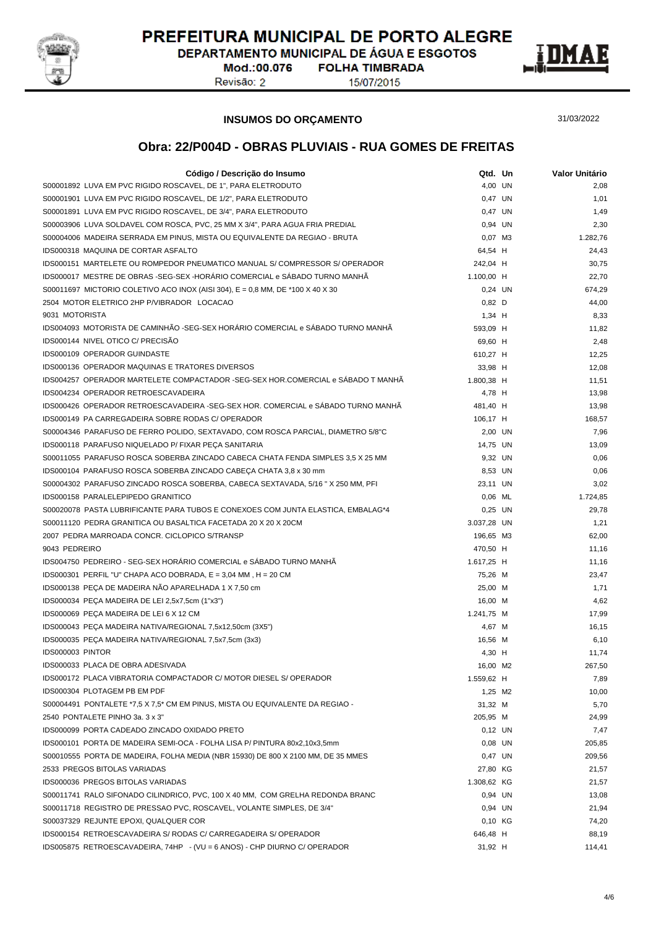

DEPARTAMENTO MUNICIPAL DE ÁGUA E ESGOTOS **FOLHA TIMBRADA** 

Mod.:00.076 Revisão: 2

15/07/2015



#### **INSUMOS DO ORÇAMENTO**

31/03/2022

| Código / Descrição do Insumo                                                     | Qtd. Un     | Valor Unitário |
|----------------------------------------------------------------------------------|-------------|----------------|
| S00001892 LUVA EM PVC RIGIDO ROSCAVEL, DE 1", PARA ELETRODUTO                    | 4,00 UN     | 2,08           |
| S00001901 LUVA EM PVC RIGIDO ROSCAVEL, DE 1/2", PARA ELETRODUTO                  | 0,47 UN     | 1,01           |
| S00001891 LUVA EM PVC RIGIDO ROSCAVEL, DE 3/4", PARA ELETRODUTO                  | 0,47 UN     | 1,49           |
| S00003906 LUVA SOLDAVEL COM ROSCA, PVC, 25 MM X 3/4", PARA AGUA FRIA PREDIAL     | 0,94 UN     | 2,30           |
| S00004006 MADEIRA SERRADA EM PINUS, MISTA OU EQUIVALENTE DA REGIAO - BRUTA       | 0.07 M3     | 1.282,76       |
| IDS000318 MAQUINA DE CORTAR ASFALTO                                              | 64,54 H     | 24,43          |
| IDS000151 MARTELETE OU ROMPEDOR PNEUMATICO MANUAL S/ COMPRESSOR S/ OPERADOR      | 242,04 H    | 30,75          |
| IDS000017 MESTRE DE OBRAS -SEG-SEX -HORÁRIO COMERCIAL e SÁBADO TURNO MANHÃ       | 1.100,00 H  | 22,70          |
| S00011697 MICTORIO COLETIVO ACO INOX (AISI 304), $E = 0.8$ MM, DE *100 X 40 X 30 | 0,24 UN     | 674,29         |
| 2504 MOTOR ELETRICO 2HP P/VIBRADOR LOCACAO                                       | $0,82$ D    | 44,00          |
| 9031 MOTORISTA                                                                   | $1,34$ H    | 8,33           |
| IDS004093 MOTORISTA DE CAMINHÃO -SEG-SEX HORÁRIO COMERCIAL e SÁBADO TURNO MANHÃ  | 593,09 H    | 11,82          |
| IDS000144 NIVEL OTICO C/ PRECISÃO                                                | 69,60 H     | 2,48           |
| IDS000109 OPERADOR GUINDASTE                                                     | 610,27 H    | 12,25          |
| <b>IDS000136 OPERADOR MAQUINAS E TRATORES DIVERSOS</b>                           | 33,98 H     | 12,08          |
| IDS004257 OPERADOR MARTELETE COMPACTADOR -SEG-SEX HOR.COMERCIAL e SÁBADO T MANHÃ | 1.800,38 H  | 11,51          |
| IDS004234 OPERADOR RETROESCAVADEIRA                                              | 4,78 H      | 13,98          |
| IDS000426 OPERADOR RETROESCAVADEIRA -SEG-SEX HOR. COMERCIAL e SÁBADO TURNO MANHÃ | 481,40 H    | 13,98          |
| IDS000149 PA CARREGADEIRA SOBRE RODAS C/ OPERADOR                                | 106,17 H    | 168,57         |
| S00004346 PARAFUSO DE FERRO POLIDO, SEXTAVADO, COM ROSCA PARCIAL, DIAMETRO 5/8"C | 2,00 UN     | 7,96           |
| IDS000118 PARAFUSO NIQUELADO P/ FIXAR PECA SANITARIA                             | 14,75 UN    | 13,09          |
| S00011055 PARAFUSO ROSCA SOBERBA ZINCADO CABECA CHATA FENDA SIMPLES 3,5 X 25 MM  | 9,32 UN     | 0,06           |
| IDS000104 PARAFUSO ROSCA SOBERBA ZINCADO CABEÇA CHATA 3,8 x 30 mm                | 8,53 UN     | 0,06           |
| S00004302 PARAFUSO ZINCADO ROSCA SOBERBA, CABECA SEXTAVADA, 5/16 " X 250 MM, PFI | 23,11 UN    | 3,02           |
| IDS000158 PARALELEPIPEDO GRANITICO                                               | $0.06$ ML   | 1.724,85       |
| S00020078 PASTA LUBRIFICANTE PARA TUBOS E CONEXOES COM JUNTA ELASTICA, EMBALAG*4 | $0,25$ UN   | 29,78          |
| S00011120 PEDRA GRANITICA OU BASALTICA FACETADA 20 X 20 X 20CM                   | 3.037,28 UN | 1,21           |
| 2007 PEDRA MARROADA CONCR. CICLOPICO S/TRANSP                                    | 196,65 M3   | 62,00          |
| 9043 PEDREIRO                                                                    | 470,50 H    | 11,16          |
| IDS004750 PEDREIRO - SEG-SEX HORÁRIO COMERCIAL e SÁBADO TURNO MANHÃ              | 1.617,25 H  | 11,16          |
| IDS000301 PERFIL "U" CHAPA ACO DOBRADA, E = 3,04 MM, H = 20 CM                   | 75,26 M     | 23,47          |
| IDS000138 PEÇA DE MADEIRA NÃO APARELHADA 1 X 7,50 cm                             | 25,00 M     | 1,71           |
| IDS000034 PEÇA MADEIRA DE LEI 2,5x7,5cm (1"x3")                                  | 16,00 M     | 4,62           |
| IDS000069 PECA MADEIRA DE LEI 6 X 12 CM                                          | 1.241,75 M  | 17,99          |
| IDS000043 PEÇA MADEIRA NATIVA/REGIONAL 7,5x12,50cm (3X5")                        | 4,67 M      | 16,15          |
| IDS000035 PEÇA MADEIRA NATIVA/REGIONAL 7,5x7,5cm (3x3)                           | 16,56 M     | 6,10           |
| IDS000003 PINTOR                                                                 | 4,30 H      | 11,74          |
| IDS000033 PLACA DE OBRA ADESIVADA                                                | 16,00 M2    | 267,50         |
| IDS000172 PLACA VIBRATORIA COMPACTADOR C/ MOTOR DIESEL S/ OPERADOR               | 1.559,62 H  | 7,89           |
| IDS000304 PLOTAGEM PB EM PDF                                                     | 1,25 M2     | 10,00          |
| S00004491 PONTALETE *7,5 X 7,5 * CM EM PINUS, MISTA OU EQUIVALENTE DA REGIAO -   | 31,32 M     | 5,70           |
| 2540 PONTALETE PINHO 3a. 3 x 3"                                                  | 205,95 M    | 24,99          |
| IDS000099 PORTA CADEADO ZINCADO OXIDADO PRETO                                    | $0,12$ UN   | 7,47           |
| IDS000101 PORTA DE MADEIRA SEMI-OCA - FOLHA LISA P/ PINTURA 80x2,10x3,5mm        | $0.08$ UN   | 205,85         |
| S00010555 PORTA DE MADEIRA, FOLHA MEDIA (NBR 15930) DE 800 X 2100 MM, DE 35 MMES | 0,47 UN     | 209,56         |
| 2533 PREGOS BITOLAS VARIADAS                                                     | 27,80 KG    | 21,57          |
| IDS000036 PREGOS BITOLAS VARIADAS                                                | 1.308,62 KG | 21,57          |
| S00011741 RALO SIFONADO CILINDRICO, PVC, 100 X 40 MM, COM GRELHA REDONDA BRANC   | 0,94 UN     | 13,08          |
| S00011718 REGISTRO DE PRESSAO PVC, ROSCAVEL, VOLANTE SIMPLES, DE 3/4"            | 0,94 UN     | 21,94          |
| S00037329 REJUNTE EPOXI, QUALQUER COR                                            | 0,10 KG     | 74,20          |
| IDS000154 RETROESCAVADEIRA S/ RODAS C/ CARREGADEIRA S/ OPERADOR                  | 646,48 H    | 88,19          |
| IDS005875 RETROESCAVADEIRA, 74HP - (VU = 6 ANOS) - CHP DIURNO C/ OPERADOR        | 31,92 H     | 114,41         |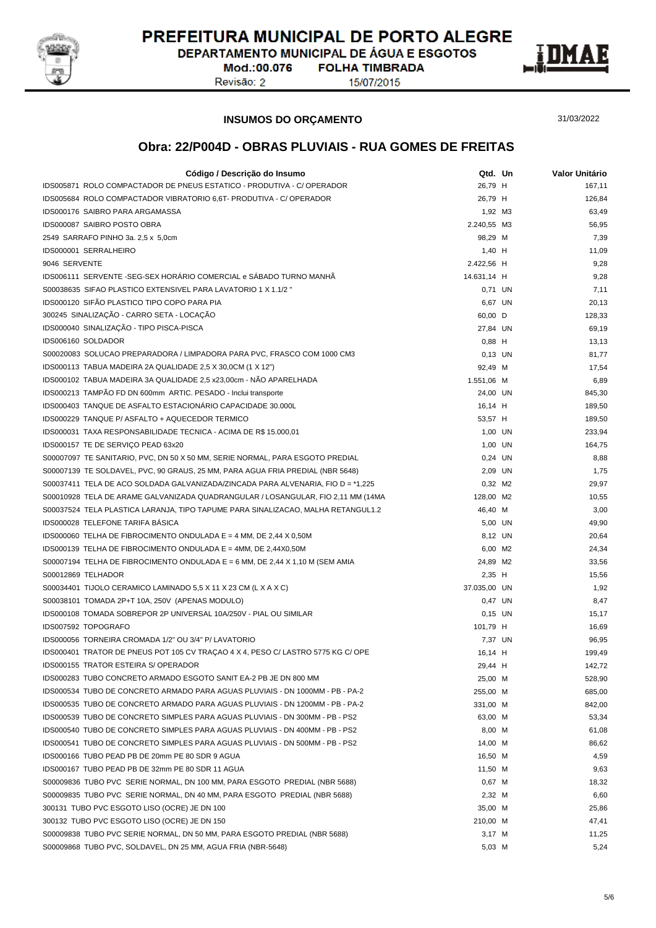

DEPARTAMENTO MUNICIPAL DE ÁGUA E ESGOTOS **FOLHA TIMBRADA** 

Mod.:00.076 Revisão: 2

15/07/2015



**INSUMOS DO ORÇAMENTO**

31/03/2022

| Código / Descrição do Insumo                                                     | Qtd. Un      | Valor Unitário |
|----------------------------------------------------------------------------------|--------------|----------------|
| IDS005871 ROLO COMPACTADOR DE PNEUS ESTATICO - PRODUTIVA - C/ OPERADOR           | 26,79 H      | 167,11         |
| IDS005684 ROLO COMPACTADOR VIBRATORIO 6.6T- PRODUTIVA - C/ OPERADOR              | 26,79 H      | 126,84         |
| IDS000176 SAIBRO PARA ARGAMASSA                                                  | 1,92 M3      | 63,49          |
| IDS000087 SAIBRO POSTO OBRA                                                      | 2.240,55 M3  | 56,95          |
| 2549 SARRAFO PINHO 3a. 2,5 x 5,0cm                                               | 98,29 M      | 7,39           |
| IDS000001 SERRALHEIRO                                                            | $1,40$ H     | 11,09          |
| 9046 SERVENTE                                                                    | 2.422,56 H   | 9,28           |
| IDS006111 SERVENTE -SEG-SEX HORÁRIO COMERCIAL e SÁBADO TURNO MANHÃ               | 14.631,14 H  | 9,28           |
| S00038635 SIFAO PLASTICO EXTENSIVEL PARA LAVATORIO 1 X 1.1/2 "                   | 0,71 UN      | 7,11           |
| IDS000120 SIFÃO PLASTICO TIPO COPO PARA PIA                                      | 6,67 UN      | 20,13          |
| 300245 SINALIZAÇÃO - CARRO SETA - LOCAÇÃO                                        | 60,00 D      | 128,33         |
| IDS000040 SINALIZAÇÃO - TIPO PISCA-PISCA                                         | 27,84 UN     | 69,19          |
| IDS006160 SOLDADOR                                                               | $0,88$ H     | 13,13          |
| S00020083 SOLUCAO PREPARADORA / LIMPADORA PARA PVC, FRASCO COM 1000 CM3          | 0.13 UN      | 81,77          |
| IDS000113 TABUA MADEIRA 2A QUALIDADE 2,5 X 30,0CM (1 X 12")                      | 92,49 M      | 17,54          |
| IDS000102 TABUA MADEIRA 3A QUALIDADE 2,5 x23,00cm - NÃO APARELHADA               | 1.551,06 M   | 6,89           |
| IDS000213 TAMPÃO FD DN 600mm ARTIC. PESADO - Inclui transporte                   | 24,00 UN     | 845,30         |
| IDS000403 TANQUE DE ASFALTO ESTACIONÁRIO CAPACIDADE 30.000L                      | 16,14 H      | 189,50         |
| IDS000229 TANQUE P/ ASFALTO + AQUECEDOR TERMICO                                  | 53,57 H      | 189,50         |
| IDS000031 TAXA RESPONSABILIDADE TECNICA - ACIMA DE R\$ 15.000,01                 | 1,00 UN      | 233,94         |
| IDS000157 TE DE SERVIÇO PEAD 63x20                                               | 1,00 UN      | 164,75         |
| S00007097 TE SANITARIO, PVC, DN 50 X 50 MM, SERIE NORMAL, PARA ESGOTO PREDIAL    | 0,24 UN      | 8,88           |
| S00007139 TE SOLDAVEL, PVC, 90 GRAUS, 25 MM, PARA AGUA FRIA PREDIAL (NBR 5648)   | 2,09 UN      | 1,75           |
| S00037411 TELA DE ACO SOLDADA GALVANIZADA/ZINCADA PARA ALVENARIA, FIO D = *1,225 | 0,32 M2      | 29,97          |
| S00010928 TELA DE ARAME GALVANIZADA QUADRANGULAR / LOSANGULAR, FIO 2,11 MM (14MA | 128,00 M2    | 10,55          |
| S00037524 TELA PLASTICA LARANJA, TIPO TAPUME PARA SINALIZACAO, MALHA RETANGUL1.2 | 46,40 M      | 3,00           |
| IDS000028 TELEFONE TARIFA BASICA                                                 | 5,00 UN      | 49,90          |
| IDS000060 TELHA DE FIBROCIMENTO ONDULADA E = 4 MM, DE 2,44 X 0,50M               | 8,12 UN      | 20,64          |
| IDS000139 TELHA DE FIBROCIMENTO ONDULADA E = 4MM, DE 2,44X0,50M                  | 6,00 M2      | 24,34          |
| S00007194 TELHA DE FIBROCIMENTO ONDULADA E = 6 MM, DE 2,44 X 1,10 M (SEM AMIA    | 24,89 M2     | 33,56          |
| S00012869 TELHADOR                                                               | $2,35$ H     | 15,56          |
| S00034401 TIJOLO CERAMICO LAMINADO 5,5 X 11 X 23 CM (L X A X C)                  | 37.035,00 UN | 1,92           |
| S00038101 TOMADA 2P+T 10A, 250V (APENAS MODULO)                                  | 0,47 UN      | 8,47           |
| IDS000108 TOMADA SOBREPOR 2P UNIVERSAL 10A/250V - PIAL OU SIMILAR                | $0,15$ UN    | 15,17          |
| IDS007592 TOPOGRAFO                                                              | 101,79 H     | 16,69          |
| IDS000056 TORNEIRA CROMADA 1/2" OU 3/4" P/ LAVATORIO                             | 7,37 UN      | 96,95          |
| IDS000401 TRATOR DE PNEUS POT 105 CV TRACAO 4 X 4, PESO C/ LASTRO 5775 KG C/ OPE | 16,14 H      | 199,49         |
| <b>IDS000155 TRATOR ESTEIRA S/ OPERADOR</b>                                      | 29,44 H      | 142,72         |
| IDS000283 TUBO CONCRETO ARMADO ESGOTO SANIT EA-2 PB JE DN 800 MM                 | 25,00 M      | 528,90         |
| IDS000534 TUBO DE CONCRETO ARMADO PARA AGUAS PLUVIAIS - DN 1000MM - PB - PA-2    | 255,00 M     | 685,00         |
| IDS000535 TUBO DE CONCRETO ARMADO PARA AGUAS PLUVIAIS - DN 1200MM - PB - PA-2    | 331,00 M     | 842,00         |
| IDS000539 TUBO DE CONCRETO SIMPLES PARA AGUAS PLUVIAIS - DN 300MM - PB - PS2     | 63,00 M      | 53,34          |
| IDS000540 TUBO DE CONCRETO SIMPLES PARA AGUAS PLUVIAIS - DN 400MM - PB - PS2     | 8,00 M       | 61,08          |
| IDS000541 TUBO DE CONCRETO SIMPLES PARA AGUAS PLUVIAIS - DN 500MM - PB - PS2     | 14,00 M      | 86,62          |
| IDS000166 TUBO PEAD PB DE 20mm PE 80 SDR 9 AGUA                                  | 16,50 M      | 4,59           |
| IDS000167 TUBO PEAD PB DE 32mm PE 80 SDR 11 AGUA                                 | 11,50 M      | 9,63           |
| S00009836 TUBO PVC SERIE NORMAL, DN 100 MM, PARA ESGOTO PREDIAL (NBR 5688)       | $0,67$ M     | 18,32          |
| S00009835 TUBO PVC SERIE NORMAL, DN 40 MM, PARA ESGOTO PREDIAL (NBR 5688)        | 2,32 M       | 6,60           |
| 300131 TUBO PVC ESGOTO LISO (OCRE) JE DN 100                                     | 35,00 M      | 25,86          |
| 300132 TUBO PVC ESGOTO LISO (OCRE) JE DN 150                                     | 210,00 M     | 47,41          |
| S00009838 TUBO PVC SERIE NORMAL, DN 50 MM, PARA ESGOTO PREDIAL (NBR 5688)        | 3,17 M       | 11,25          |
| S00009868 TUBO PVC, SOLDAVEL, DN 25 MM, AGUA FRIA (NBR-5648)                     | 5,03 M       | 5,24           |